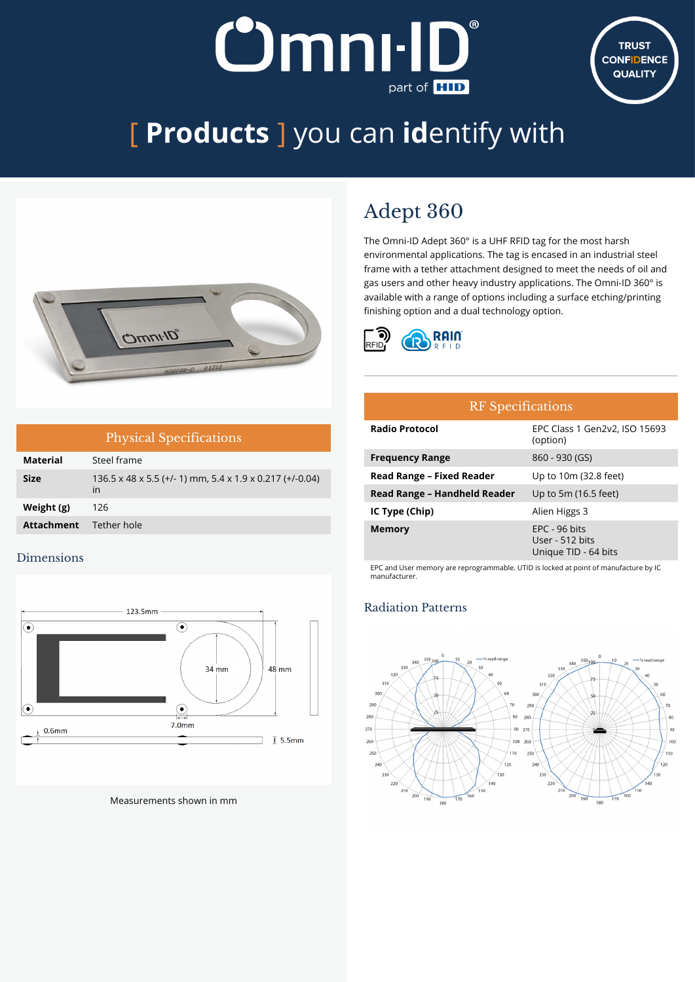## **Omnı-II** part of **HID**



# [ **Products** ] you can **id**entify with



| <b>Physical Specifications</b> |                                                                            |  |
|--------------------------------|----------------------------------------------------------------------------|--|
| <b>Material</b>                | Steel frame                                                                |  |
| <b>Size</b>                    | $136.5 \times 48 \times 5.5$ (+/- 1) mm, 5.4 x 1.9 x 0.217 (+/-0.04)<br>in |  |
| Weight (g)                     | 126                                                                        |  |
| <b>Attachment</b>              | Tether hole                                                                |  |

#### Dimensions



Measurements shown in mm

### Adept 360

The Omni-ID Adept 360° is a UHF RFID tag for the most harsh environmental applications. The tag is encased in an industrial steel frame with a tether attachment designed to meet the needs of oil and gas users and other heavy industry applications. The Omni-ID 360° is available with a range of options including a surface etching/printing finishing option and a dual technology option.



| <b>RF</b> Specifications     |                                                            |  |
|------------------------------|------------------------------------------------------------|--|
| <b>Radio Protocol</b>        | EPC Class 1 Gen2v2, ISO 15693<br>(option)                  |  |
| <b>Frequency Range</b>       | 860 - 930 (GS)                                             |  |
| Read Range - Fixed Reader    | Up to 10m (32.8 feet)                                      |  |
| Read Range - Handheld Reader | Up to 5m (16.5 feet)                                       |  |
| IC Type (Chip)               | Alien Higgs 3                                              |  |
| <b>Memory</b>                | $EPC - 96$ bits<br>User - 512 bits<br>Unique TID - 64 bits |  |

EPC and User memory are reprogrammable. UTID is locked at point of manufacture by IC manufacturer.

#### Radiation Patterns